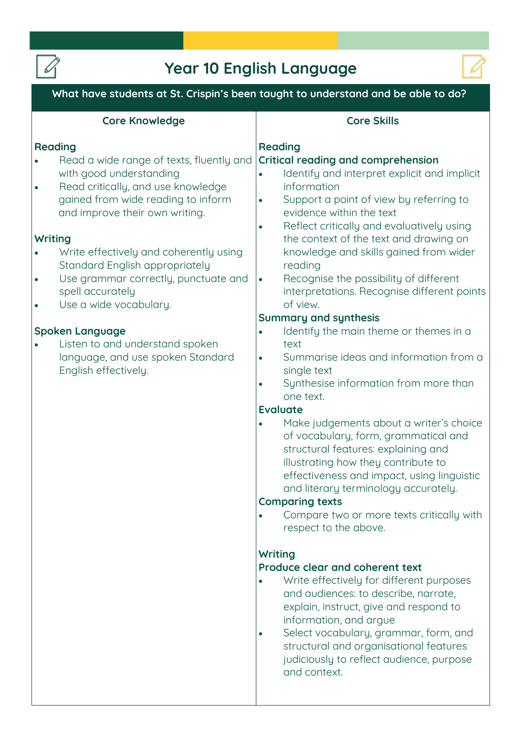

## **Year 10 English Language**



| What have students at St. Crispin's been taught to understand and be able to do?                                                                                                                                                                                                                                                                                                                                                                                                                                                     |                                                                                                                                                                                                                                                                                                                                                                                                                                                                                                                                                                                                                                                                                                                                                                                                                                                                                                                                                                                                                                                                                                                                                                                                                                                                                                                                                                                                                                                                                                                      |
|--------------------------------------------------------------------------------------------------------------------------------------------------------------------------------------------------------------------------------------------------------------------------------------------------------------------------------------------------------------------------------------------------------------------------------------------------------------------------------------------------------------------------------------|----------------------------------------------------------------------------------------------------------------------------------------------------------------------------------------------------------------------------------------------------------------------------------------------------------------------------------------------------------------------------------------------------------------------------------------------------------------------------------------------------------------------------------------------------------------------------------------------------------------------------------------------------------------------------------------------------------------------------------------------------------------------------------------------------------------------------------------------------------------------------------------------------------------------------------------------------------------------------------------------------------------------------------------------------------------------------------------------------------------------------------------------------------------------------------------------------------------------------------------------------------------------------------------------------------------------------------------------------------------------------------------------------------------------------------------------------------------------------------------------------------------------|
| <b>Core Knowledge</b>                                                                                                                                                                                                                                                                                                                                                                                                                                                                                                                | <b>Core Skills</b>                                                                                                                                                                                                                                                                                                                                                                                                                                                                                                                                                                                                                                                                                                                                                                                                                                                                                                                                                                                                                                                                                                                                                                                                                                                                                                                                                                                                                                                                                                   |
| <b>Reading</b><br>Read a wide range of texts, fluently and<br>with good understanding<br>Read critically, and use knowledge<br>$\bullet$<br>gained from wide reading to inform<br>and improve their own writing.<br>Writing<br>Write effectively and coherently using<br>Standard English appropriately<br>Use grammar correctly, punctuate and<br>spell accurately<br>Use a wide vocabulary.<br><b>Spoken Language</b><br>Listen to and understand spoken<br>$\bullet$<br>language, and use spoken Standard<br>English effectively. | <b>Reading</b><br><b>Critical reading and comprehension</b><br>Identify and interpret explicit and implicit<br>$\bullet$<br>information<br>Support a point of view by referring to<br>$\bullet$<br>evidence within the text<br>Reflect critically and evaluatively using<br>$\bullet$<br>the context of the text and drawing on<br>knowledge and skills gained from wider<br>reading<br>Recognise the possibility of different<br>$\bullet$<br>interpretations. Recognise different points<br>of view.<br><b>Summary and synthesis</b><br>Identify the main theme or themes in a<br>$\bullet$<br>text<br>Summarise ideas and information from a<br>$\bullet$<br>single text<br>Synthesise information from more than<br>$\bullet$<br>one text.<br><b>Evaluate</b><br>Make judgements about a writer's choice<br>$\bullet$<br>of vocabulary, form, grammatical and<br>structural features: explaining and<br>illustrating how they contribute to<br>effectiveness and impact, using linguistic<br>and literary terminology accurately.<br><b>Comparing texts</b><br>Compare two or more texts critically with<br>respect to the above.<br>Writing<br>Produce clear and coherent text<br>Write effectively for different purposes<br>$\bullet$<br>and audiences: to describe, narrate,<br>explain, instruct, give and respond to<br>information, and argue<br>Select vocabulary, grammar, form, and<br>$\bullet$<br>structural and organisational features<br>judiciously to reflect audience, purpose<br>and context. |